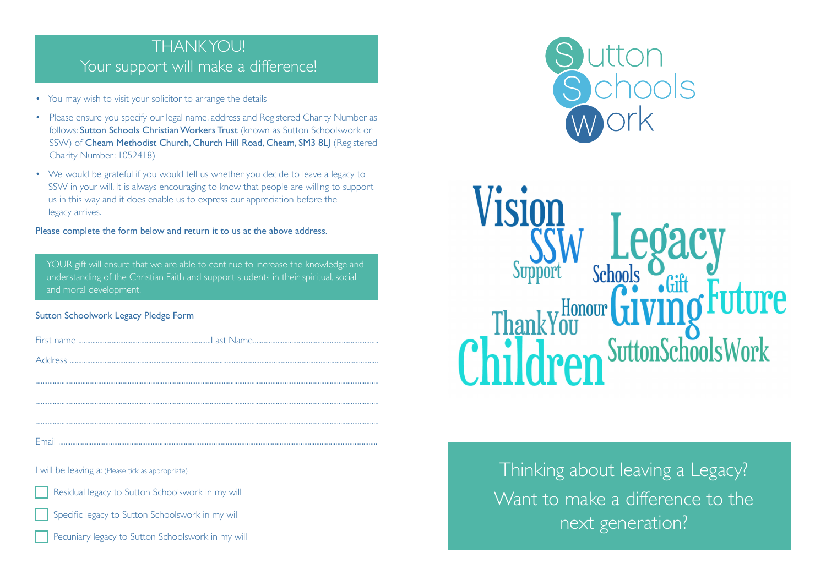# THANK YOU! Your support will make a difference!

- You may wish to visit your solicitor to arrange the details
- Please ensure you specify our legal name, address and Registered Charity Number as follows: Sutton Schools Christian Workers Trust (known as Sutton Schoolswork or SSW) of Cheam Methodist Church, Church Hill Road, Cheam, SM3 8LJ (Registered Charity Number: 1052418)
- We would be grateful if you would tell us whether you decide to leave a legacy to SSW in your will. It is always encouraging to know that people are willing to support us in this way and it does enable us to express our appreciation before the legacy arrives.

#### Please complete the form below and return it to us at the above address.

YOUR gift will ensure that we are able to continue to increase the knowledge and understanding of the Christian Faith and support students in their spiritual, social and moral development.

### Sutton Schoolwork Legacy Pledge Form

Email .......................................................................................................................................................................................

I will be leaving a: (Please tick as appropriate)

Residual legacy to Sutton Schoolswork in my will

Specific legacy to Sutton Schoolswork in my will





Vision Support **Schools** Honour Childre SuttonSchoolsWork

> Thinking about leaving a Legacy? Want to make a difference to the next generation?